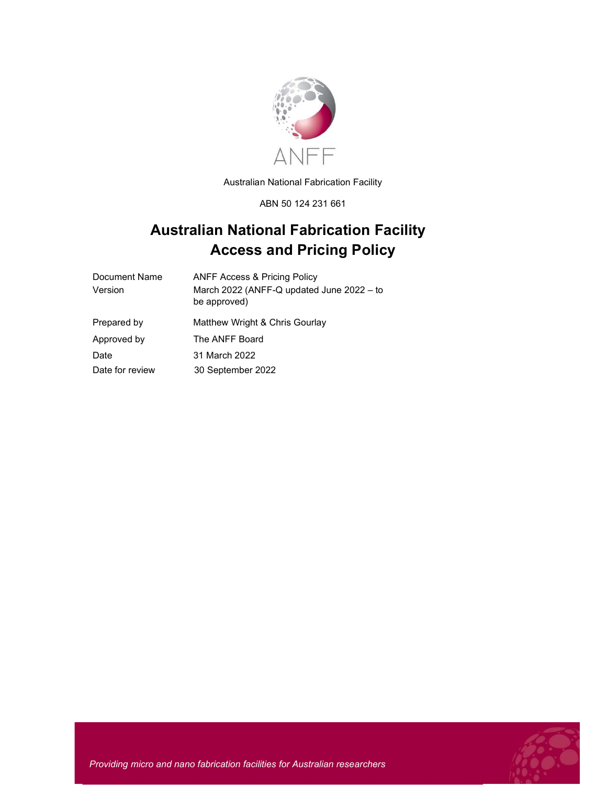

Australian National Fabrication Facility

ABN 50 124 231 661

# Australian National Fabrication Facility Access and Pricing Policy

| <b>ANFF Access &amp; Pricing Policy</b>                   |
|-----------------------------------------------------------|
| March 2022 (ANFF-Q updated June 2022 - to<br>be approved) |
| Matthew Wright & Chris Gourlay                            |
| The ANFF Board                                            |
| 31 March 2022                                             |
| 30 September 2022                                         |
|                                                           |



Providing micro and nano fabrication facilities for Australian researchers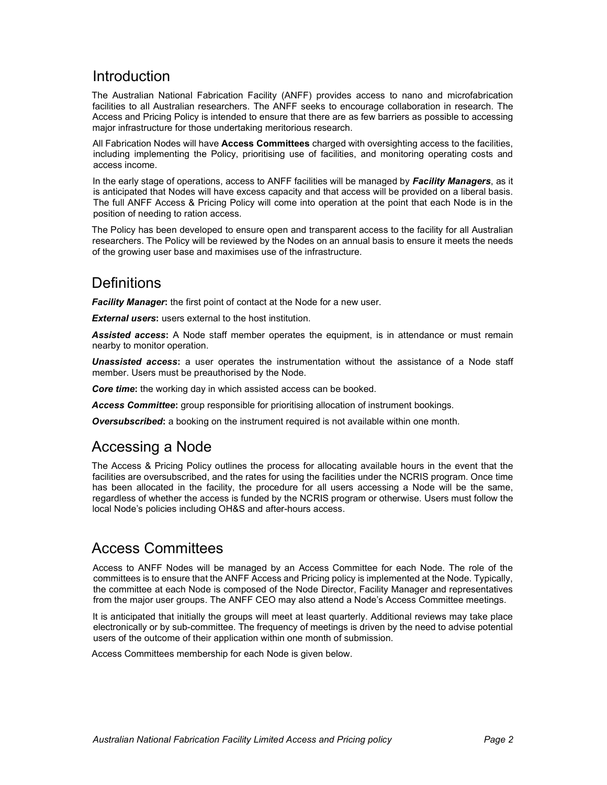## Introduction

The Australian National Fabrication Facility (ANFF) provides access to nano and microfabrication facilities to all Australian researchers. The ANFF seeks to encourage collaboration in research. The Access and Pricing Policy is intended to ensure that there are as few barriers as possible to accessing major infrastructure for those undertaking meritorious research.

All Fabrication Nodes will have Access Committees charged with oversighting access to the facilities, including implementing the Policy, prioritising use of facilities, and monitoring operating costs and access income.

In the early stage of operations, access to ANFF facilities will be managed by Facility Managers, as it is anticipated that Nodes will have excess capacity and that access will be provided on a liberal basis. The full ANFF Access & Pricing Policy will come into operation at the point that each Node is in the position of needing to ration access.

The Policy has been developed to ensure open and transparent access to the facility for all Australian researchers. The Policy will be reviewed by the Nodes on an annual basis to ensure it meets the needs of the growing user base and maximises use of the infrastructure.

# **Definitions**

**Facility Manager:** the first point of contact at the Node for a new user.

**External users:** users external to the host institution.

**Assisted access:** A Node staff member operates the equipment, is in attendance or must remain nearby to monitor operation.

**Unassisted access:** a user operates the instrumentation without the assistance of a Node staff member. Users must be preauthorised by the Node.

Core time: the working day in which assisted access can be booked.

Access Committee: group responsible for prioritising allocation of instrument bookings.

**Oversubscribed:** a booking on the instrument required is not available within one month.

## Accessing a Node

The Access & Pricing Policy outlines the process for allocating available hours in the event that the facilities are oversubscribed, and the rates for using the facilities under the NCRIS program. Once time has been allocated in the facility, the procedure for all users accessing a Node will be the same, regardless of whether the access is funded by the NCRIS program or otherwise. Users must follow the local Node's policies including OH&S and after-hours access.

# Access Committees

Access to ANFF Nodes will be managed by an Access Committee for each Node. The role of the committees is to ensure that the ANFF Access and Pricing policy is implemented at the Node. Typically, the committee at each Node is composed of the Node Director, Facility Manager and representatives from the major user groups. The ANFF CEO may also attend a Node's Access Committee meetings.

It is anticipated that initially the groups will meet at least quarterly. Additional reviews may take place electronically or by sub-committee. The frequency of meetings is driven by the need to advise potential users of the outcome of their application within one month of submission.

Access Committees membership for each Node is given below.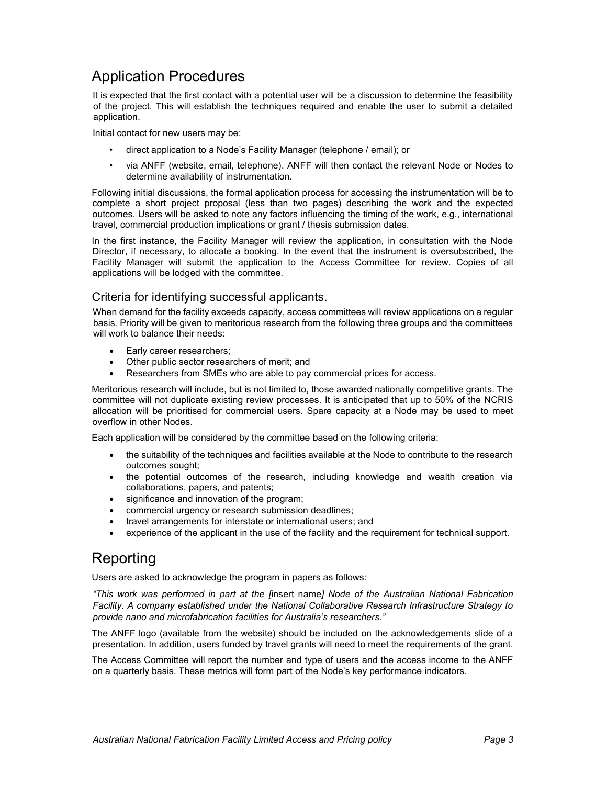## Application Procedures

It is expected that the first contact with a potential user will be a discussion to determine the feasibility of the project. This will establish the techniques required and enable the user to submit a detailed application.

Initial contact for new users may be:

- direct application to a Node's Facility Manager (telephone / email); or
- via ANFF (website, email, telephone). ANFF will then contact the relevant Node or Nodes to determine availability of instrumentation.

Following initial discussions, the formal application process for accessing the instrumentation will be to complete a short project proposal (less than two pages) describing the work and the expected outcomes. Users will be asked to note any factors influencing the timing of the work, e.g., international travel, commercial production implications or grant / thesis submission dates.

In the first instance, the Facility Manager will review the application, in consultation with the Node Director, if necessary, to allocate a booking. In the event that the instrument is oversubscribed, the Facility Manager will submit the application to the Access Committee for review. Copies of all applications will be lodged with the committee.

## Criteria for identifying successful applicants.

When demand for the facility exceeds capacity, access committees will review applications on a regular basis. Priority will be given to meritorious research from the following three groups and the committees will work to balance their needs:

- Early career researchers;
- Other public sector researchers of merit; and
- Researchers from SMEs who are able to pay commercial prices for access.

Meritorious research will include, but is not limited to, those awarded nationally competitive grants. The committee will not duplicate existing review processes. It is anticipated that up to 50% of the NCRIS allocation will be prioritised for commercial users. Spare capacity at a Node may be used to meet overflow in other Nodes.

Each application will be considered by the committee based on the following criteria:

- the suitability of the techniques and facilities available at the Node to contribute to the research outcomes sought;
- the potential outcomes of the research, including knowledge and wealth creation via collaborations, papers, and patents;
- significance and innovation of the program;
- commercial urgency or research submission deadlines;
- travel arrangements for interstate or international users; and
- experience of the applicant in the use of the facility and the requirement for technical support.

## Reporting

Users are asked to acknowledge the program in papers as follows:

"This work was performed in part at the [insert name] Node of the Australian National Fabrication Facility. A company established under the National Collaborative Research Infrastructure Strategy to provide nano and microfabrication facilities for Australia's researchers."

The ANFF logo (available from the website) should be included on the acknowledgements slide of a presentation. In addition, users funded by travel grants will need to meet the requirements of the grant.

The Access Committee will report the number and type of users and the access income to the ANFF on a quarterly basis. These metrics will form part of the Node's key performance indicators.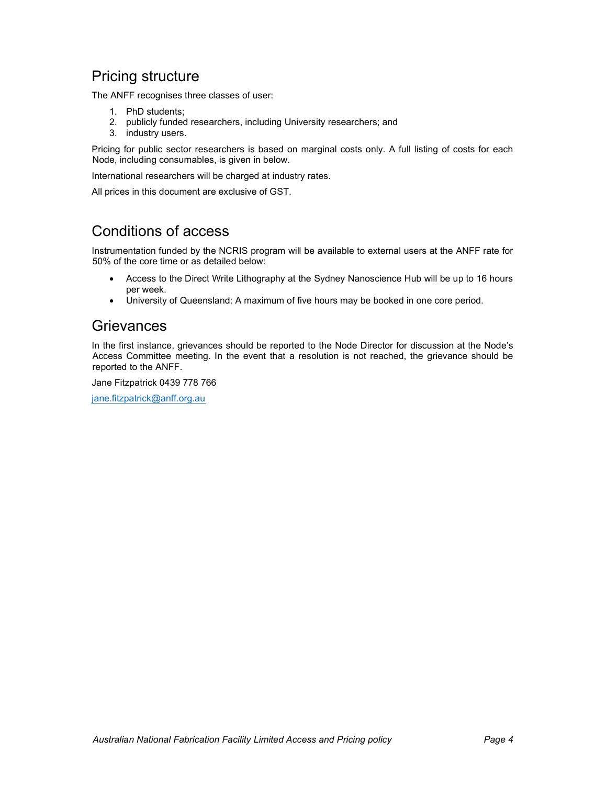## Pricing structure

The ANFF recognises three classes of user:

- 1. PhD students;
- 2. publicly funded researchers, including University researchers; and
- 3. industry users.

Pricing for public sector researchers is based on marginal costs only. A full listing of costs for each Node, including consumables, is given in below.

International researchers will be charged at industry rates.

All prices in this document are exclusive of GST.

## Conditions of access

Instrumentation funded by the NCRIS program will be available to external users at the ANFF rate for 50% of the core time or as detailed below:

- Access to the Direct Write Lithography at the Sydney Nanoscience Hub will be up to 16 hours per week.
- University of Queensland: A maximum of five hours may be booked in one core period.

## **Grievances**

In the first instance, grievances should be reported to the Node Director for discussion at the Node's Access Committee meeting. In the event that a resolution is not reached, the grievance should be reported to the ANFF.

Jane Fitzpatrick 0439 778 766

jane.fitzpatrick@anff.org.au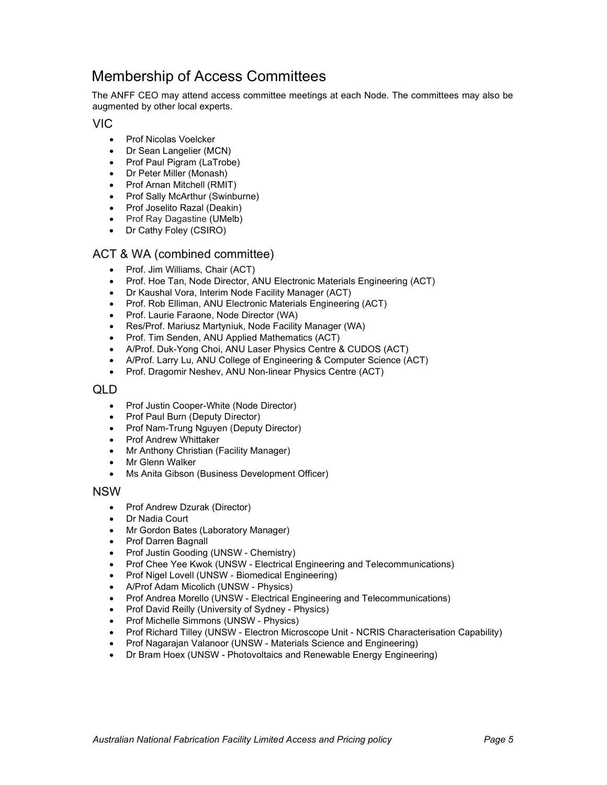## Membership of Access Committees

The ANFF CEO may attend access committee meetings at each Node. The committees may also be augmented by other local experts.

VIC

- Prof Nicolas Voelcker
- Dr Sean Langelier (MCN)
- Prof Paul Pigram (LaTrobe)
- Dr Peter Miller (Monash)
- Prof Arnan Mitchell (RMIT)
- Prof Sally McArthur (Swinburne)
- Prof Joselito Razal (Deakin)
- Prof Ray Dagastine (UMelb)
- Dr Cathy Foley (CSIRO)

### ACT & WA (combined committee)

- Prof. Jim Williams, Chair (ACT)
- Prof. Hoe Tan, Node Director, ANU Electronic Materials Engineering (ACT)
- Dr Kaushal Vora, Interim Node Facility Manager (ACT)
- Prof. Rob Elliman, ANU Electronic Materials Engineering (ACT)
- Prof. Laurie Faraone, Node Director (WA)
- Res/Prof. Mariusz Martyniuk, Node Facility Manager (WA)
- Prof. Tim Senden, ANU Applied Mathematics (ACT)
- A/Prof. Duk-Yong Choi, ANU Laser Physics Centre & CUDOS (ACT)
- A/Prof. Larry Lu, ANU College of Engineering & Computer Science (ACT)
- Prof. Dragomir Neshev, ANU Non-linear Physics Centre (ACT)

#### QLD

- Prof Justin Cooper-White (Node Director)
- Prof Paul Burn (Deputy Director)
- Prof Nam-Trung Nguyen (Deputy Director)
- Prof Andrew Whittaker
- Mr Anthony Christian (Facility Manager)
- Mr Glenn Walker
- Ms Anita Gibson (Business Development Officer)

#### NSW

- Prof Andrew Dzurak (Director)
- Dr Nadia Court
- Mr Gordon Bates (Laboratory Manager)
- Prof Darren Bagnall
- Prof Justin Gooding (UNSW Chemistry)
- Prof Chee Yee Kwok (UNSW Electrical Engineering and Telecommunications)
- Prof Nigel Lovell (UNSW Biomedical Engineering)
- A/Prof Adam Micolich (UNSW Physics)
- Prof Andrea Morello (UNSW Electrical Engineering and Telecommunications)
- Prof David Reilly (University of Sydney Physics)
- Prof Michelle Simmons (UNSW Physics)
- Prof Richard Tilley (UNSW Electron Microscope Unit NCRIS Characterisation Capability)
- Prof Nagarajan Valanoor (UNSW Materials Science and Engineering)
- Dr Bram Hoex (UNSW Photovoltaics and Renewable Energy Engineering)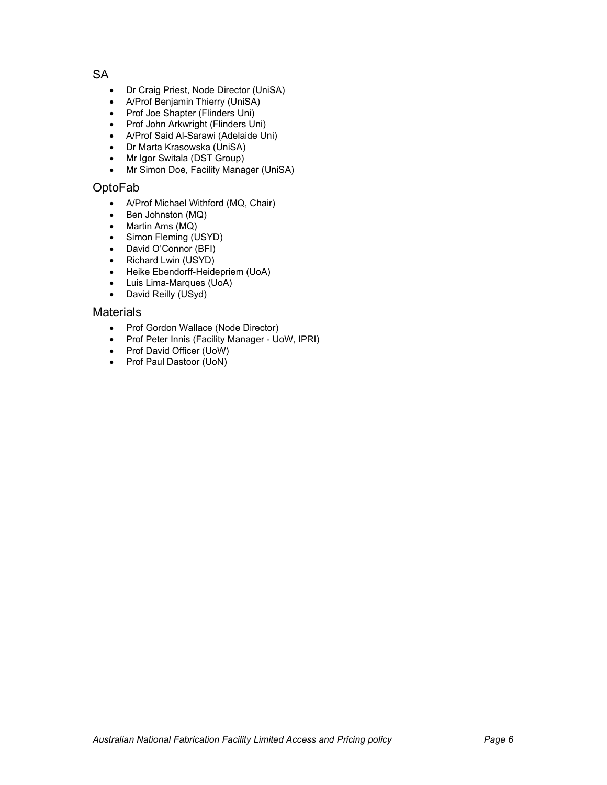**SA** 

- Dr Craig Priest, Node Director (UniSA)
- A/Prof Benjamin Thierry (UniSA)
- Prof Joe Shapter (Flinders Uni)
- Prof John Arkwright (Flinders Uni)
- A/Prof Said Al-Sarawi (Adelaide Uni)
- Dr Marta Krasowska (UniSA)
- Mr Igor Switala (DST Group)
- Mr Simon Doe, Facility Manager (UniSA)

### OptoFab

- A/Prof Michael Withford (MQ, Chair)
- $\bullet$  Ben Johnston (MQ)
- Martin Ams (MQ)
- Simon Fleming (USYD)
- David O'Connor (BFI)
- Richard Lwin (USYD)
- Heike Ebendorff-Heidepriem (UoA)
- Luis Lima-Marques (UoA)
- David Reilly (USyd)

### **Materials**

- Prof Gordon Wallace (Node Director)
- Prof Peter Innis (Facility Manager UoW, IPRI)
- Prof David Officer (UoW)
- Prof Paul Dastoor (UoN)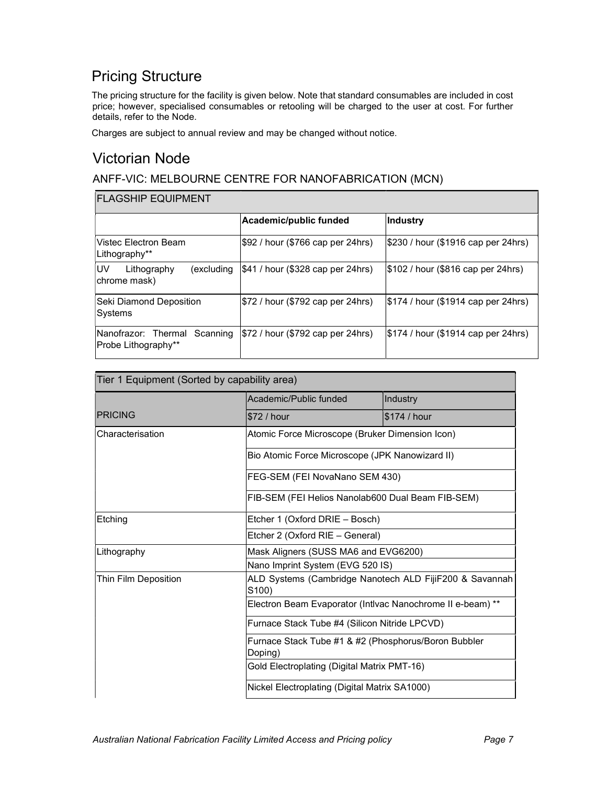# Pricing Structure

The pricing structure for the facility is given below. Note that standard consumables are included in cost price; however, specialised consumables or retooling will be charged to the user at cost. For further details, refer to the Node.

Charges are subject to annual review and may be changed without notice.

## Victorian Node

## ANFF-VIC: MELBOURNE CENTRE FOR NANOFABRICATION (MCN)

#### FLAGSHIP EQUIPMENT

|                                                         | Academic/public funded            | Industry                              |
|---------------------------------------------------------|-----------------------------------|---------------------------------------|
| lVistec Electron Beam<br>∣Lithography**                 | \$92 / hour (\$766 cap per 24hrs) | \$230 / hour (\$1916 cap per 24hrs)   |
| <b>IUV</b><br>Lithography<br>excluding)<br>chrome mask) | \$41 / hour (\$328 cap per 24hrs) | $ \$102/$ hour (\$816 cap per 24hrs)  |
| Seki Diamond Deposition <br>Systems                     | \$72 / hour (\$792 cap per 24hrs) | $ \$174/$ hour (\$1914 cap per 24hrs) |
| Nanofrazor: Thermal Scanning<br>Probe Lithography**     | \$72 / hour (\$792 cap per 24hrs) | $ \$174/$ hour (\$1914 cap per 24hrs) |

| Tier 1 Equipment (Sorted by capability area) |                                                                                                                                                                                                                                                   |               |
|----------------------------------------------|---------------------------------------------------------------------------------------------------------------------------------------------------------------------------------------------------------------------------------------------------|---------------|
|                                              | Academic/Public funded                                                                                                                                                                                                                            | Industry      |
| <b>PRICING</b>                               | \$72 / hour                                                                                                                                                                                                                                       | l\$174 / hour |
| Characterisation                             | Atomic Force Microscope (Bruker Dimension Icon)                                                                                                                                                                                                   |               |
|                                              | Bio Atomic Force Microscope (JPK Nanowizard II)                                                                                                                                                                                                   |               |
|                                              | FEG-SEM (FEI NovaNano SEM 430)                                                                                                                                                                                                                    |               |
|                                              | FIB-SEM (FEI Helios Nanolab600 Dual Beam FIB-SEM)                                                                                                                                                                                                 |               |
| Etching                                      | Etcher 1 (Oxford DRIE - Bosch)<br>Etcher 2 (Oxford RIE - General)                                                                                                                                                                                 |               |
|                                              |                                                                                                                                                                                                                                                   |               |
| Lithography                                  | Mask Aligners (SUSS MA6 and EVG6200)<br>Nano Imprint System (EVG 520 IS)                                                                                                                                                                          |               |
|                                              |                                                                                                                                                                                                                                                   |               |
| Thin Film Deposition                         | ALD Systems (Cambridge Nanotech ALD FijiF200 & Savannah<br>S100<br>Electron Beam Evaporator (Intivac Nanochrome II e-beam) **<br>Furnace Stack Tube #4 (Silicon Nitride LPCVD)<br>Furnace Stack Tube #1 & #2 (Phosphorus/Boron Bubbler<br>Doping) |               |
|                                              |                                                                                                                                                                                                                                                   |               |
|                                              |                                                                                                                                                                                                                                                   |               |
|                                              |                                                                                                                                                                                                                                                   |               |
|                                              | Gold Electroplating (Digital Matrix PMT-16)                                                                                                                                                                                                       |               |
|                                              | Nickel Electroplating (Digital Matrix SA1000)                                                                                                                                                                                                     |               |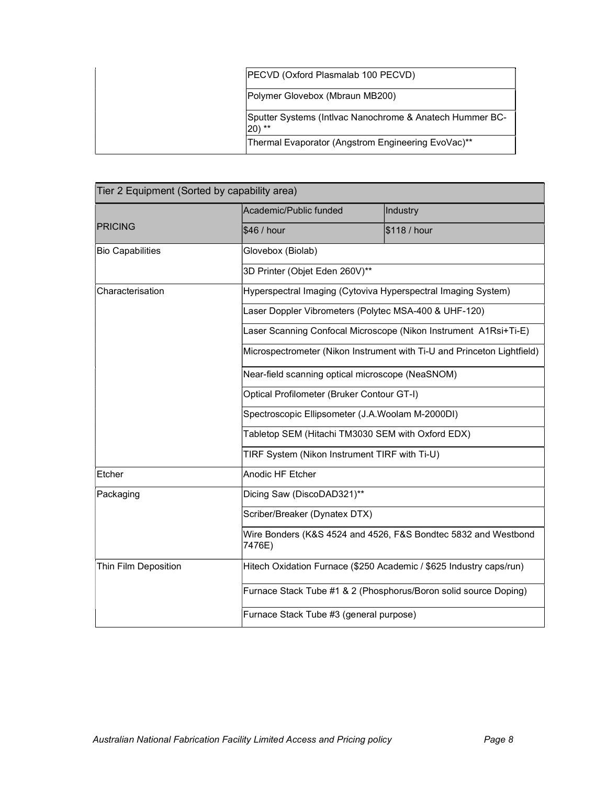| PECVD (Oxford Plasmalab 100 PECVD)                                          |
|-----------------------------------------------------------------------------|
| Polymer Glovebox (Mbraun MB200)                                             |
| Sputter Systems (Intivac Nanochrome & Anatech Hummer BC-<br>$ 20\rangle$ ** |
| Thermal Evaporator (Angstrom Engineering EvoVac)**                          |

| Tier 2 Equipment (Sorted by capability area) |                                                                                                    |                                                                         |  |
|----------------------------------------------|----------------------------------------------------------------------------------------------------|-------------------------------------------------------------------------|--|
|                                              | Academic/Public funded                                                                             | Industry                                                                |  |
| <b>PRICING</b>                               | \$46 / hour                                                                                        | \$118 / hour                                                            |  |
| <b>Bio Capabilities</b>                      | Glovebox (Biolab)                                                                                  |                                                                         |  |
|                                              | 3D Printer (Objet Eden 260V)**                                                                     |                                                                         |  |
| Characterisation                             | Hyperspectral Imaging (Cytoviva Hyperspectral Imaging System)                                      |                                                                         |  |
|                                              | Laser Doppler Vibrometers (Polytec MSA-400 & UHF-120)                                              |                                                                         |  |
|                                              |                                                                                                    | Laser Scanning Confocal Microscope (Nikon Instrument A1Rsi+Ti-E)        |  |
|                                              |                                                                                                    | Microspectrometer (Nikon Instrument with Ti-U and Princeton Lightfield) |  |
|                                              | Near-field scanning optical microscope (NeaSNOM)                                                   |                                                                         |  |
|                                              | Optical Profilometer (Bruker Contour GT-I)                                                         |                                                                         |  |
|                                              | Spectroscopic Ellipsometer (J.A.Woolam M-2000DI)                                                   |                                                                         |  |
|                                              | Tabletop SEM (Hitachi TM3030 SEM with Oxford EDX)<br>TIRF System (Nikon Instrument TIRF with Ti-U) |                                                                         |  |
|                                              |                                                                                                    |                                                                         |  |
| Etcher                                       | <b>Anodic HF Etcher</b>                                                                            |                                                                         |  |
| Packaging                                    | Dicing Saw (DiscoDAD321)**                                                                         |                                                                         |  |
|                                              | Scriber/Breaker (Dynatex DTX)                                                                      |                                                                         |  |
|                                              | 7476E)                                                                                             | Wire Bonders (K&S 4524 and 4526, F&S Bondtec 5832 and Westbond          |  |
| Thin Film Deposition                         |                                                                                                    | Hitech Oxidation Furnace (\$250 Academic / \$625 Industry caps/run)     |  |
|                                              | Furnace Stack Tube #1 & 2 (Phosphorus/Boron solid source Doping)                                   |                                                                         |  |
|                                              | Furnace Stack Tube #3 (general purpose)                                                            |                                                                         |  |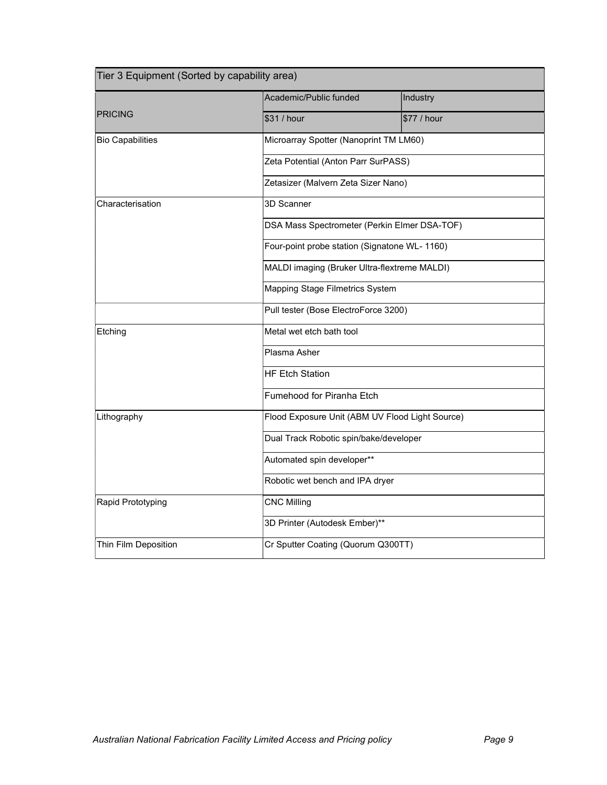| Tier 3 Equipment (Sorted by capability area) |                                                                                                                         |             |
|----------------------------------------------|-------------------------------------------------------------------------------------------------------------------------|-------------|
|                                              | Academic/Public funded                                                                                                  | Industry    |
| <b>PRICING</b>                               | \$31 / hour                                                                                                             | \$77 / hour |
| <b>Bio Capabilities</b>                      | Microarray Spotter (Nanoprint TM LM60)                                                                                  |             |
|                                              | Zeta Potential (Anton Parr SurPASS)                                                                                     |             |
|                                              | Zetasizer (Malvern Zeta Sizer Nano)                                                                                     |             |
| Characterisation                             | 3D Scanner                                                                                                              |             |
|                                              | DSA Mass Spectrometer (Perkin Elmer DSA-TOF)                                                                            |             |
|                                              | Four-point probe station (Signatone WL- 1160)                                                                           |             |
|                                              | MALDI imaging (Bruker Ultra-flextreme MALDI)<br>Mapping Stage Filmetrics System<br>Pull tester (Bose ElectroForce 3200) |             |
|                                              |                                                                                                                         |             |
|                                              |                                                                                                                         |             |
| Etching                                      | Metal wet etch bath tool<br>Plasma Asher                                                                                |             |
|                                              |                                                                                                                         |             |
|                                              | <b>HF Etch Station</b>                                                                                                  |             |
|                                              | Fumehood for Piranha Etch                                                                                               |             |
| Lithography                                  | Flood Exposure Unit (ABM UV Flood Light Source)                                                                         |             |
|                                              | Dual Track Robotic spin/bake/developer<br>Automated spin developer**                                                    |             |
|                                              |                                                                                                                         |             |
|                                              | Robotic wet bench and IPA dryer                                                                                         |             |
| Rapid Prototyping                            | <b>CNC Milling</b>                                                                                                      |             |
|                                              | 3D Printer (Autodesk Ember)**                                                                                           |             |
| Thin Film Deposition                         | Cr Sputter Coating (Quorum Q300TT)                                                                                      |             |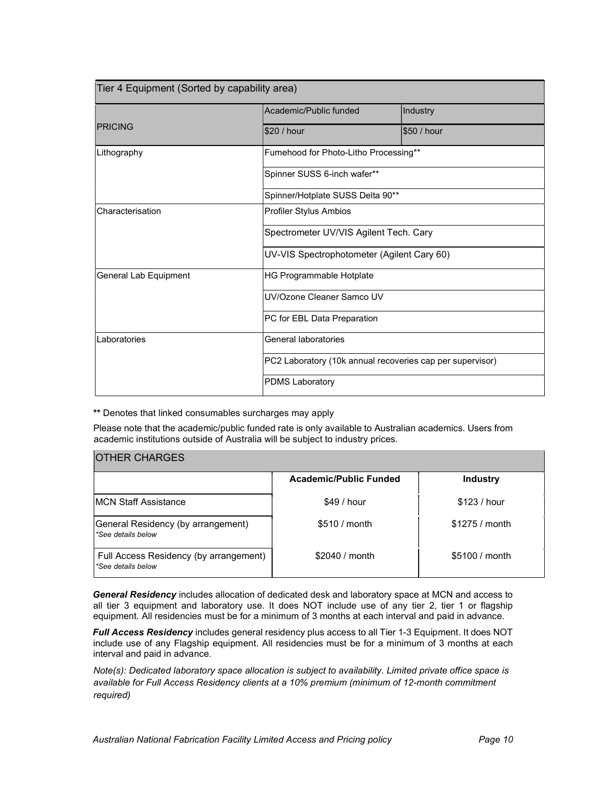| Tier 4 Equipment (Sorted by capability area) |                                                                                                             |             |
|----------------------------------------------|-------------------------------------------------------------------------------------------------------------|-------------|
|                                              | Academic/Public funded                                                                                      | Industry    |
| <b>PRICING</b>                               | \$20 / hour                                                                                                 | \$50 / hour |
| Lithography                                  | Fumehood for Photo-Litho Processing**                                                                       |             |
|                                              | Spinner SUSS 6-inch wafer**                                                                                 |             |
|                                              | Spinner/Hotplate SUSS Delta 90**                                                                            |             |
| Characterisation                             | Profiler Stylus Ambios                                                                                      |             |
|                                              | Spectrometer UV/VIS Agilent Tech. Cary                                                                      |             |
|                                              | UV-VIS Spectrophotometer (Agilent Cary 60)                                                                  |             |
| General Lab Equipment                        | HG Programmable Hotplate<br>UV/Ozone Cleaner Samco UV                                                       |             |
|                                              |                                                                                                             |             |
|                                              | PC for EBL Data Preparation                                                                                 |             |
| Laboratories                                 | General laboratories<br>PC2 Laboratory (10k annual recoveries cap per supervisor)<br><b>PDMS Laboratory</b> |             |
|                                              |                                                                                                             |             |
|                                              |                                                                                                             |             |

\*\* Denotes that linked consumables surcharges may apply

Please note that the academic/public funded rate is only available to Australian academics. Users from academic institutions outside of Australia will be subject to industry prices.

| <b>IOTHER CHARGES</b>                                        |                               |                 |
|--------------------------------------------------------------|-------------------------------|-----------------|
|                                                              | <b>Academic/Public Funded</b> | <b>Industry</b> |
| <b>IMCN Staff Assistance</b>                                 | \$49/hour                     | \$123 / hour    |
| General Residency (by arrangement)<br>*See details below     | \$510 / month                 | $$1275/$ month  |
| Full Access Residency (by arrangement)<br>*See details below | \$2040 / month                | \$5100 / month  |

General Residency includes allocation of dedicated desk and laboratory space at MCN and access to all tier 3 equipment and laboratory use. It does NOT include use of any tier 2, tier 1 or flagship equipment. All residencies must be for a minimum of 3 months at each interval and paid in advance.

Full Access Residency includes general residency plus access to all Tier 1-3 Equipment. It does NOT include use of any Flagship equipment. All residencies must be for a minimum of 3 months at each interval and paid in advance.

Note(s): Dedicated laboratory space allocation is subject to availability. Limited private office space is available for Full Access Residency clients at a 10% premium (minimum of 12-month commitment required)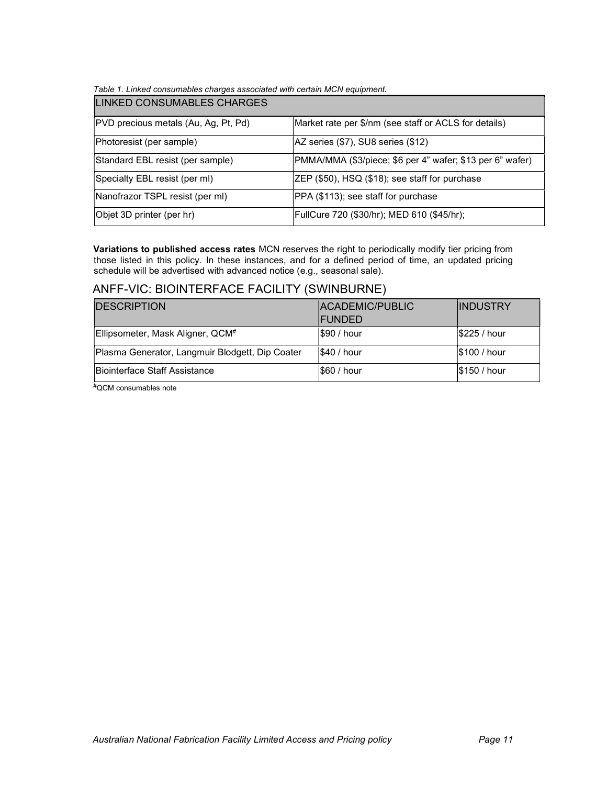#### Table 1. Linked consumables charges associated with certain MCN equipment.

| LINKED CONSUMABLES CHARGES           |                                                           |
|--------------------------------------|-----------------------------------------------------------|
| PVD precious metals (Au, Ag, Pt, Pd) | Market rate per \$/nm (see staff or ACLS for details)     |
| Photoresist (per sample)             | AZ series (\$7), SU8 series (\$12)                        |
| Standard EBL resist (per sample)     | PMMA/MMA (\$3/piece; \$6 per 4" wafer; \$13 per 6" wafer) |
| Specialty EBL resist (per ml)        | ZEP (\$50), HSQ (\$18); see staff for purchase            |
| Nanofrazor TSPL resist (per ml)      | PPA (\$113); see staff for purchase                       |
| Objet 3D printer (per hr)            | FullCure 720 (\$30/hr); MED 610 (\$45/hr);                |

Variations to published access rates MCN reserves the right to periodically modify tier pricing from those listed in this policy. In these instances, and for a defined period of time, an updated pricing schedule will be advertised with advanced notice (e.g., seasonal sale).

## ANFF-VIC: BIOINTERFACE FACILITY (SWINBURNE)

| <b>IDESCRIPTION</b>                             | <b>IACADEMIC/PUBLIC</b><br><b>IFUNDED</b> | <b>IINDUSTRY</b> |
|-------------------------------------------------|-------------------------------------------|------------------|
| Ellipsometer, Mask Aligner, QCM <sup>#</sup>    | \$90 / hour                               | \$225 / hour     |
| Plasma Generator, Langmuir Blodgett, Dip Coater | <b>\$40 / hour</b>                        | \$100 / hour     |
| Biointerface Staff Assistance                   | <b>S60 / hour</b>                         | \$150/hour       |

#QCM consumables note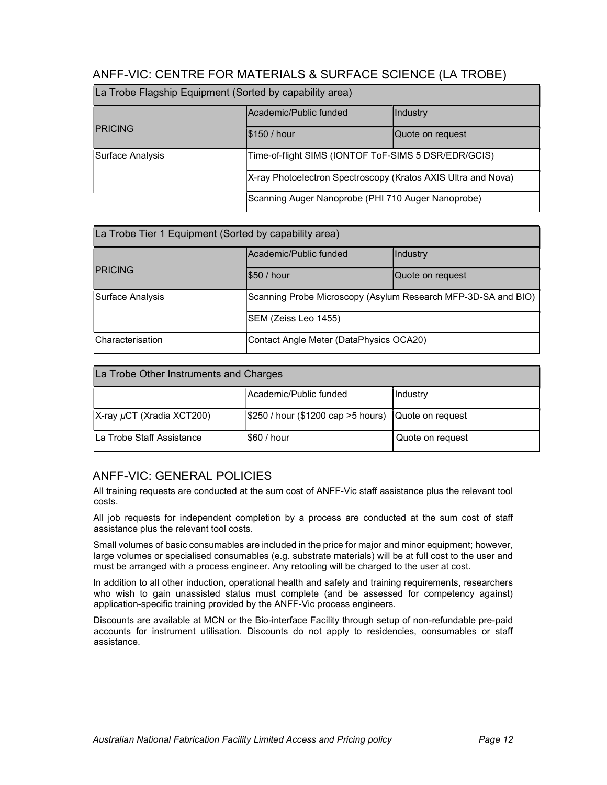## ANFF-VIC: CENTRE FOR MATERIALS & SURFACE SCIENCE (LA TROBE)

| La Trobe Flagship Equipment (Sorted by capability area) |                                                                                                                                                                             |                  |
|---------------------------------------------------------|-----------------------------------------------------------------------------------------------------------------------------------------------------------------------------|------------------|
|                                                         | lAcademic/Public funded                                                                                                                                                     | <b>Industry</b>  |
| <b>IPRICING</b>                                         | <b>S150 / hour</b>                                                                                                                                                          | Quote on request |
| Surface Analysis                                        | Time-of-flight SIMS (IONTOF ToF-SIMS 5 DSR/EDR/GCIS)<br>X-ray Photoelectron Spectroscopy (Kratos AXIS Ultra and Nova)<br>Scanning Auger Nanoprobe (PHI 710 Auger Nanoprobe) |                  |
|                                                         |                                                                                                                                                                             |                  |
|                                                         |                                                                                                                                                                             |                  |

| La Trobe Tier 1 Equipment (Sorted by capability area) |                                                               |                  |
|-------------------------------------------------------|---------------------------------------------------------------|------------------|
|                                                       | Academic/Public funded                                        | Industry         |
| <b>PRICING</b>                                        | \$50 / hour                                                   | Quote on request |
| Surface Analysis                                      | Scanning Probe Microscopy (Asylum Research MFP-3D-SA and BIO) |                  |
|                                                       | SEM (Zeiss Leo 1455)                                          |                  |
| Characterisation                                      | Contact Angle Meter (DataPhysics OCA20)                       |                  |

| La Trobe Other Instruments and Charges                        |                                                                |           |  |
|---------------------------------------------------------------|----------------------------------------------------------------|-----------|--|
|                                                               | Academic/Public funded                                         | Ilndustry |  |
| X-ray µCT (Xradia XCT200)                                     | $\frac{1}{250}$ / hour (\$1200 cap > 5 hours) Quote on request |           |  |
| La Trobe Staff Assistance<br> \$60 / hour<br>Quote on request |                                                                |           |  |

## ANFF-VIC: GENERAL POLICIES

All training requests are conducted at the sum cost of ANFF-Vic staff assistance plus the relevant tool costs.

All job requests for independent completion by a process are conducted at the sum cost of staff assistance plus the relevant tool costs.

Small volumes of basic consumables are included in the price for major and minor equipment; however, large volumes or specialised consumables (e.g. substrate materials) will be at full cost to the user and must be arranged with a process engineer. Any retooling will be charged to the user at cost.

In addition to all other induction, operational health and safety and training requirements, researchers who wish to gain unassisted status must complete (and be assessed for competency against) application-specific training provided by the ANFF-Vic process engineers.

Discounts are available at MCN or the Bio-interface Facility through setup of non-refundable pre-paid accounts for instrument utilisation. Discounts do not apply to residencies, consumables or staff assistance.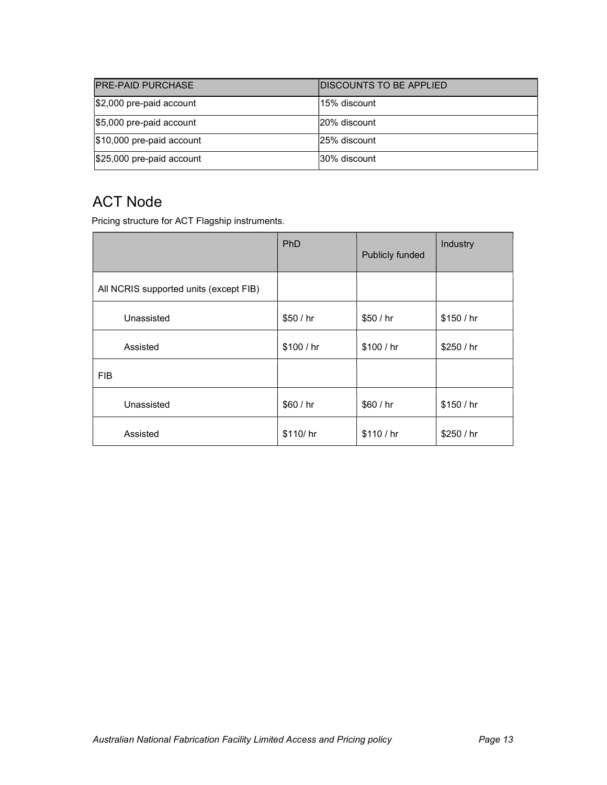| <b>PRE-PAID PURCHASE</b>   | <b>IDISCOUNTS TO BE APPLIED</b> |
|----------------------------|---------------------------------|
| $$2,000$ pre-paid account  | l15% discount                   |
| \$5,000 pre-paid account   | 120% discount                   |
| $$10,000$ pre-paid account | 125% discount                   |
| \$25,000 pre-paid account  | 30% discount                    |

# ACT Node

Pricing structure for ACT Flagship instruments.

|                                        | <b>PhD</b> | Publicly funded | Industry   |
|----------------------------------------|------------|-----------------|------------|
| All NCRIS supported units (except FIB) |            |                 |            |
| Unassisted                             | \$50 / hr  | \$50 / hr       | \$150/hr   |
| Assisted                               | \$100 / hr | \$100 / hr      | \$250 / hr |
| <b>FIB</b>                             |            |                 |            |
| Unassisted                             | \$60 / hr  | \$60 / hr       | \$150/hr   |
| Assisted                               | \$110/hr   | \$110/hr        | \$250/hr   |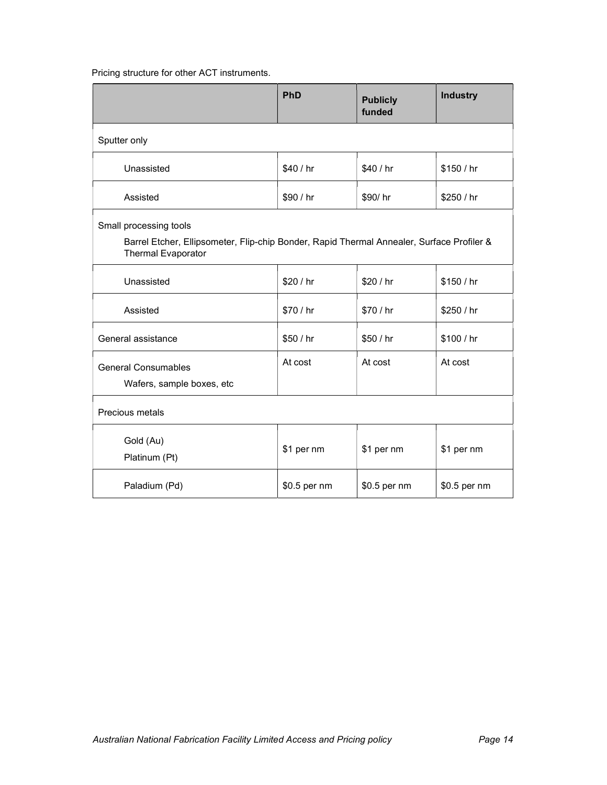## Pricing structure for other ACT instruments.

|                                                                                                                                                  | <b>PhD</b>   | <b>Publicly</b><br>funded | <b>Industry</b> |
|--------------------------------------------------------------------------------------------------------------------------------------------------|--------------|---------------------------|-----------------|
| Sputter only                                                                                                                                     |              |                           |                 |
| Unassisted                                                                                                                                       | \$40 / hr    | \$40 / hr                 | \$150 / hr      |
| Assisted                                                                                                                                         | \$90 / hr    | \$90/hr                   | \$250 / hr      |
| Small processing tools<br>Barrel Etcher, Ellipsometer, Flip-chip Bonder, Rapid Thermal Annealer, Surface Profiler &<br><b>Thermal Evaporator</b> |              |                           |                 |
| Unassisted                                                                                                                                       | \$20 / hr    | \$20 / hr                 | \$150 / hr      |
| Assisted                                                                                                                                         | \$70 / hr    | \$70 / hr                 | \$250 / hr      |
| General assistance                                                                                                                               | \$50 / hr    | \$50 / hr                 | \$100/hr        |
| <b>General Consumables</b><br>Wafers, sample boxes, etc                                                                                          | At cost      | At cost                   | At cost         |
| Precious metals                                                                                                                                  |              |                           |                 |
| Gold (Au)<br>Platinum (Pt)                                                                                                                       | \$1 per nm   | \$1 per nm                | \$1 per nm      |
| Paladium (Pd)                                                                                                                                    | \$0.5 per nm | \$0.5 per nm              | \$0.5 per nm    |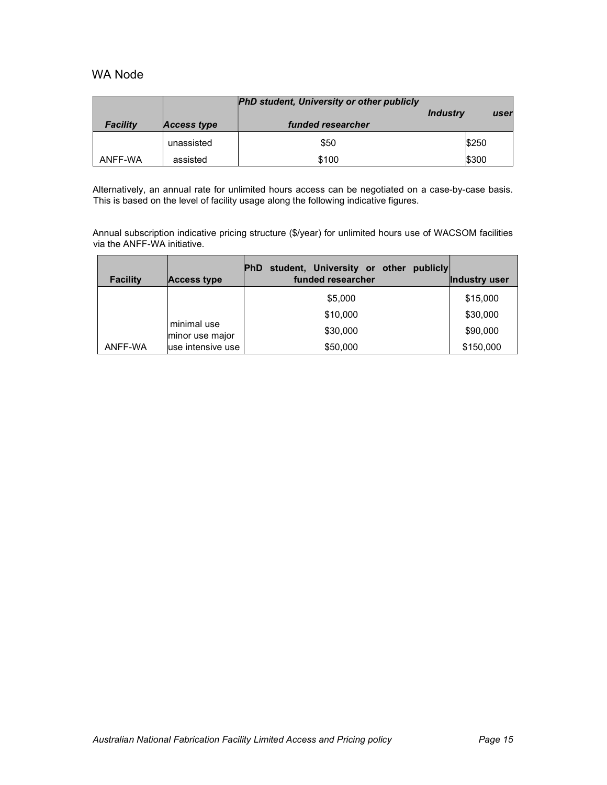## WA Node

|                 |             | <b>PhD student, University or other publicly</b> |                 |       |      |
|-----------------|-------------|--------------------------------------------------|-----------------|-------|------|
|                 |             |                                                  | <b>Industry</b> |       | user |
| <b>Facility</b> | Access type | funded researcher                                |                 |       |      |
|                 | unassisted  | \$50                                             |                 | \$250 |      |
| ANFF-WA         | assisted    | \$100                                            |                 | \$300 |      |

Alternatively, an annual rate for unlimited hours access can be negotiated on a case-by-case basis. This is based on the level of facility usage along the following indicative figures.

Annual subscription indicative pricing structure (\$/year) for unlimited hours use of WACSOM facilities via the ANFF-WA initiative.

| <b>Facility</b> | Access type                    | student, University or other<br><b>PhD</b><br>publicly<br>funded researcher | Industry user |
|-----------------|--------------------------------|-----------------------------------------------------------------------------|---------------|
|                 |                                | \$5,000                                                                     | \$15,000      |
|                 |                                | \$10,000                                                                    | \$30,000      |
|                 | minimal use<br>minor use major | \$30,000                                                                    | \$90,000      |
| ANFF-WA         | luse intensive use             | \$50,000                                                                    | \$150,000     |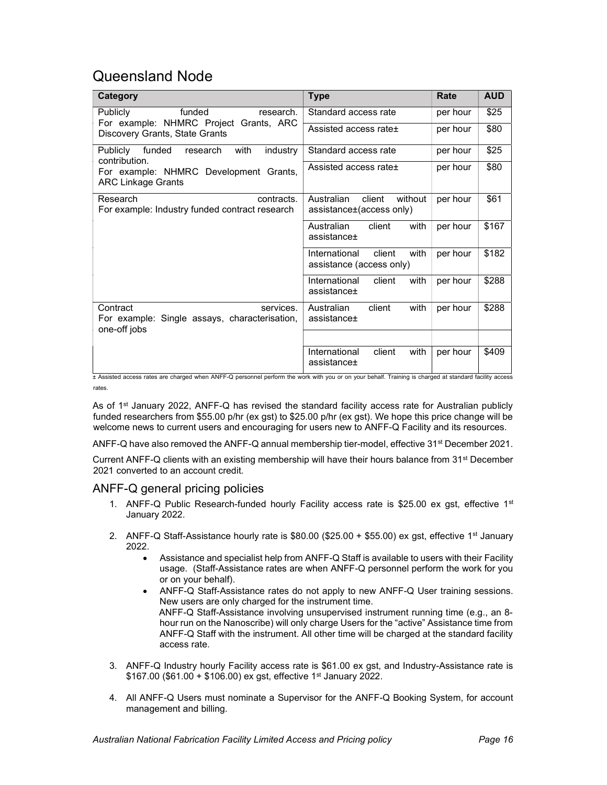## Queensland Node

| Category                                                                               | <b>Type</b>                                                 | Rate     | <b>AUD</b> |
|----------------------------------------------------------------------------------------|-------------------------------------------------------------|----------|------------|
| funded<br>Publicly<br>research.                                                        | Standard access rate                                        | per hour | \$25       |
| For example: NHMRC Project Grants, ARC<br>Discovery Grants, State Grants               | Assisted access rate+                                       | per hour | \$80       |
| funded<br>with<br>Publicly<br>industry<br>research<br>contribution.                    | Standard access rate                                        | per hour | \$25       |
| For example: NHMRC Development Grants,<br><b>ARC Linkage Grants</b>                    | Assisted access rate+                                       | per hour | \$80       |
| Research<br>contracts.<br>For example: Industry funded contract research               | Australian<br>client<br>without<br>assistance±(access only) | per hour | \$61       |
|                                                                                        | client<br>Australian<br>with<br>assistance+                 | per hour | \$167      |
|                                                                                        | International<br>client<br>with<br>assistance (access only) | per hour | \$182      |
|                                                                                        | International<br>client<br>with<br>assistance+              | per hour | \$288      |
| Contract<br>services.<br>For example: Single assays, characterisation,<br>one-off jobs | Australian<br>client<br>with<br>assistance+                 | per hour | \$288      |
|                                                                                        |                                                             |          |            |
|                                                                                        | International<br>with<br>client<br>assistance±              | per hour | \$409      |

± Assisted access rates are charged when ANFF-Q personnel perform the work with you or on your behalf. Training is charged at standard facility access rates.

As of 1<sup>st</sup> January 2022, ANFF-Q has revised the standard facility access rate for Australian publicly funded researchers from \$55.00 p/hr (ex gst) to \$25.00 p/hr (ex gst). We hope this price change will be welcome news to current users and encouraging for users new to ANFF-Q Facility and its resources.

ANFF-Q have also removed the ANFF-Q annual membership tier-model, effective 31<sup>st</sup> December 2021.

Current ANFF-Q clients with an existing membership will have their hours balance from 31st December 2021 converted to an account credit.

#### ANFF-Q general pricing policies

- 1. ANFF-Q Public Research-funded hourly Facility access rate is \$25.00 ex gst, effective  $1<sup>st</sup>$ January 2022.
- 2. ANFF-Q Staff-Assistance hourly rate is  $$80.00$  (\$25.00 + \$55.00) ex gst, effective 1<sup>st</sup> January 2022.
	- Assistance and specialist help from ANFF-Q Staff is available to users with their Facility usage. (Staff-Assistance rates are when ANFF-Q personnel perform the work for you or on your behalf).
	- ANFF-Q Staff-Assistance rates do not apply to new ANFF-Q User training sessions. New users are only charged for the instrument time. ANFF-Q Staff-Assistance involving unsupervised instrument running time (e.g., an 8 hour run on the Nanoscribe) will only charge Users for the "active" Assistance time from ANFF-Q Staff with the instrument. All other time will be charged at the standard facility access rate.
- 3. ANFF-Q Industry hourly Facility access rate is \$61.00 ex gst, and Industry-Assistance rate is  $$167.00$  (\$61.00 + \$106.00) ex gst, effective 1<sup>st</sup> January 2022.
- 4. All ANFF-Q Users must nominate a Supervisor for the ANFF-Q Booking System, for account management and billing.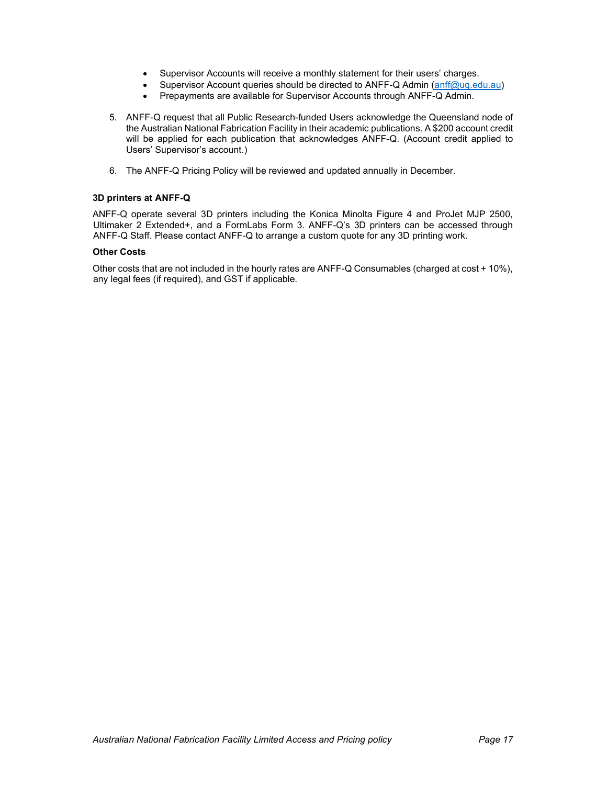- Supervisor Accounts will receive a monthly statement for their users' charges.
- Supervisor Account queries should be directed to ANFF-Q Admin (anff@uq.edu.au)
- Prepayments are available for Supervisor Accounts through ANFF-Q Admin.
- 5. ANFF-Q request that all Public Research-funded Users acknowledge the Queensland node of the Australian National Fabrication Facility in their academic publications. A \$200 account credit will be applied for each publication that acknowledges ANFF-Q. (Account credit applied to Users' Supervisor's account.)
- 6. The ANFF-Q Pricing Policy will be reviewed and updated annually in December.

#### 3D printers at ANFF-Q

ANFF-Q operate several 3D printers including the Konica Minolta Figure 4 and ProJet MJP 2500, Ultimaker 2 Extended+, and a FormLabs Form 3. ANFF-Q's 3D printers can be accessed through ANFF-Q Staff. Please contact ANFF-Q to arrange a custom quote for any 3D printing work.

#### Other Costs

Other costs that are not included in the hourly rates are ANFF-Q Consumables (charged at cost + 10%), any legal fees (if required), and GST if applicable.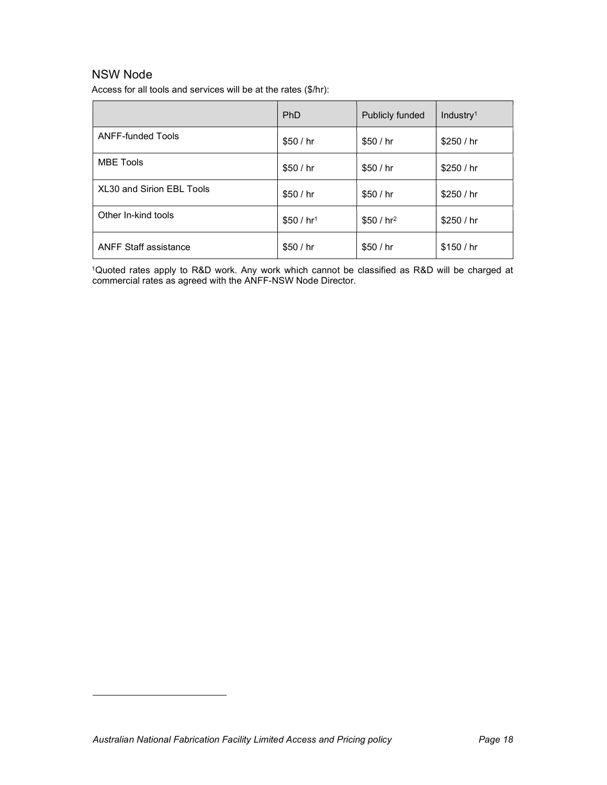## NSW Node

Access for all tools and services will be at the rates (\$/hr):

|                              | PhD          | Publicly funded | Industry <sup>1</sup> |
|------------------------------|--------------|-----------------|-----------------------|
| <b>ANFF-funded Tools</b>     | \$50/hr      | \$50/hr         | \$250/hr              |
| <b>MBE Tools</b>             | \$50/hr      | \$50/hr         | \$250/hr              |
| XL30 and Sirion EBL Tools    | \$50 / $hr$  | \$50 / $hr$     | \$250/hr              |
| Other In-kind tools          | \$50 / $hr1$ | \$50 / $hr2$    | \$250/hr              |
| <b>ANFF Staff assistance</b> | \$50 / $hr$  | \$50 / $hr$     | \$150/hr              |

<sup>1</sup>Quoted rates apply to R&D work. Any work which cannot be classified as R&D will be charged at commercial rates as agreed with the ANFF-NSW Node Director.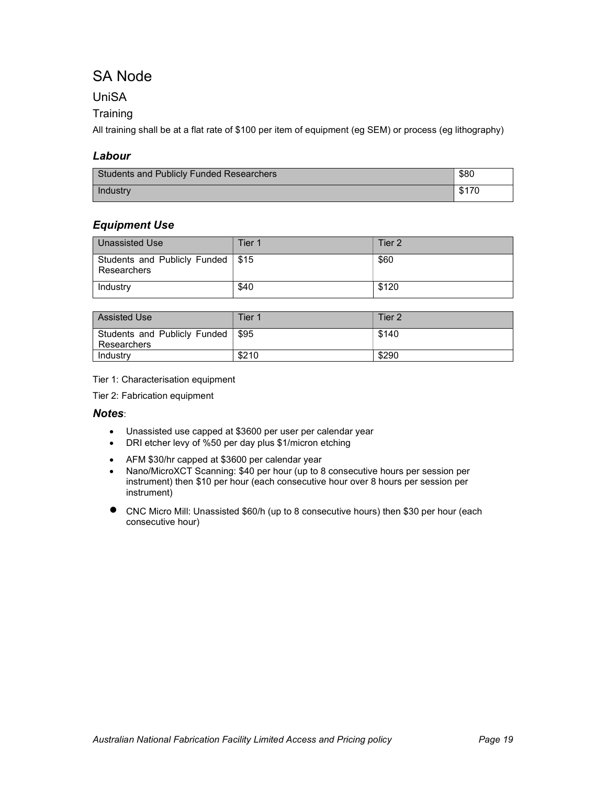# SA Node

## UniSA

## **Training**

All training shall be at a flat rate of \$100 per item of equipment (eg SEM) or process (eg lithography)

## Labour

| <b>Students and Publicly Funded Researchers</b> | \$80  |
|-------------------------------------------------|-------|
| Industry                                        | \$170 |

## Equipment Use

| Unassisted Use                                     | Tier 1 | Tier 2 |
|----------------------------------------------------|--------|--------|
| Students and Publicly Funded   \$15<br>Researchers |        | \$60   |
| Industry                                           | \$40   | \$120  |

| <b>Assisted Use</b>                         | Tier 1             | Tier 2 |
|---------------------------------------------|--------------------|--------|
| Students and Publicly Funded<br>Researchers | $\frac{1}{2}$ \$95 | \$140  |
| Industry                                    | \$210              | \$290  |

Tier 1: Characterisation equipment

Tier 2: Fabrication equipment

#### Notes:

- Unassisted use capped at \$3600 per user per calendar year
- DRI etcher levy of %50 per day plus \$1/micron etching
- AFM \$30/hr capped at \$3600 per calendar year<br>• Nano/MicroXCT Scanning: \$40 per hour (up to 8
- Nano/MicroXCT Scanning: \$40 per hour (up to 8 consecutive hours per session per instrument) then \$10 per hour (each consecutive hour over 8 hours per session per instrument)
- CNC Micro Mill: Unassisted \$60/h (up to 8 consecutive hours) then \$30 per hour (each consecutive hour)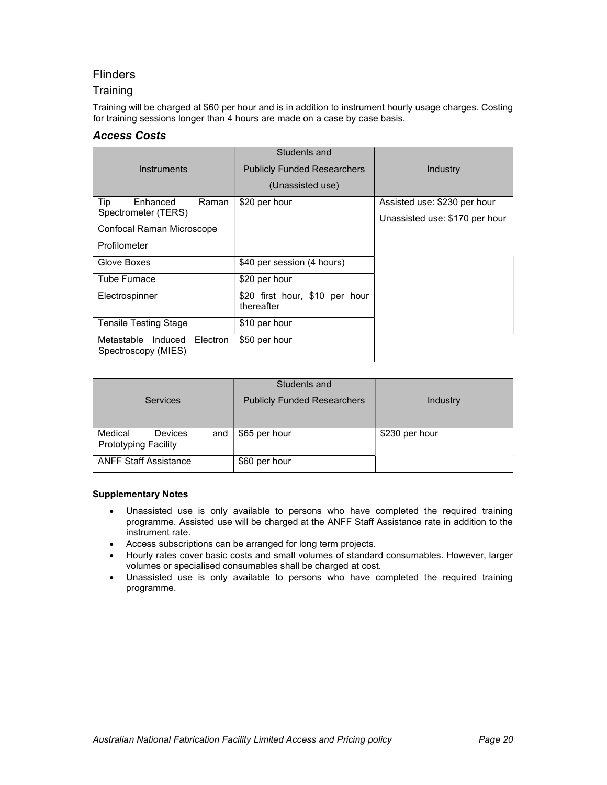## **Flinders**

### **Training**

Training will be charged at \$60 per hour and is in addition to instrument hourly usage charges. Costing for training sessions longer than 4 hours are made on a case by case basis.

### Access Costs

|                                                       | Students and                                 |                                |
|-------------------------------------------------------|----------------------------------------------|--------------------------------|
| Instruments                                           | <b>Publicly Funded Researchers</b>           | Industry                       |
|                                                       | (Unassisted use)                             |                                |
| Tip<br>Enhanced<br>Raman                              | \$20 per hour                                | Assisted use: \$230 per hour   |
| Spectrometer (TERS)                                   |                                              | Unassisted use: \$170 per hour |
| Confocal Raman Microscope                             |                                              |                                |
| Profilometer                                          |                                              |                                |
| Glove Boxes                                           | \$40 per session (4 hours)                   |                                |
| <b>Tube Furnace</b>                                   | \$20 per hour                                |                                |
| Electrospinner                                        | \$20 first hour, \$10 per hour<br>thereafter |                                |
| <b>Tensile Testing Stage</b>                          | \$10 per hour                                |                                |
| Metastable Induced<br>Electron<br>Spectroscopy (MIES) | \$50 per hour                                |                                |

| <b>Services</b>                                          | Students and<br><b>Publicly Funded Researchers</b> | Industry       |
|----------------------------------------------------------|----------------------------------------------------|----------------|
|                                                          |                                                    |                |
| Medical<br>Devices<br>and<br><b>Prototyping Facility</b> | \$65 per hour                                      | \$230 per hour |
| <b>ANFF Staff Assistance</b>                             | \$60 per hour                                      |                |

#### Supplementary Notes

- Unassisted use is only available to persons who have completed the required training programme. Assisted use will be charged at the ANFF Staff Assistance rate in addition to the instrument rate.
- Access subscriptions can be arranged for long term projects.
- Hourly rates cover basic costs and small volumes of standard consumables. However, larger volumes or specialised consumables shall be charged at cost.
- Unassisted use is only available to persons who have completed the required training programme.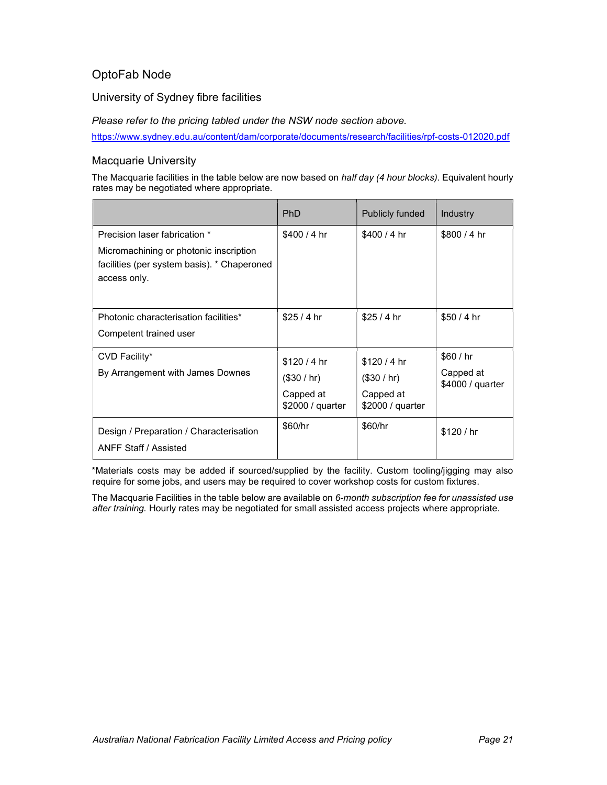## OptoFab Node

University of Sydney fibre facilities

Please refer to the pricing tabled under the NSW node section above.

https://www.sydney.edu.au/content/dam/corporate/documents/research/facilities/rpf-costs-012020.pdf

### Macquarie University

The Macquarie facilities in the table below are now based on half day (4 hour blocks). Equivalent hourly rates may be negotiated where appropriate.

|                                                                                                                                        | <b>PhD</b>                                                 | Publicly funded                                            | Industry                                 |
|----------------------------------------------------------------------------------------------------------------------------------------|------------------------------------------------------------|------------------------------------------------------------|------------------------------------------|
| Precision laser fabrication *<br>Micromachining or photonic inscription<br>facilities (per system basis). * Chaperoned<br>access only. | $$400/4$ hr                                                | $$400/4$ hr                                                | \$800/4 hr                               |
| Photonic characterisation facilities*<br>Competent trained user                                                                        | \$25/4hr                                                   | \$25/4 hr                                                  | \$50/4 hr                                |
| CVD Facility*<br>By Arrangement with James Downes                                                                                      | \$120/4 hr<br>(\$30 / hr)<br>Capped at<br>\$2000 / quarter | \$120/4 hr<br>(\$30 / hr)<br>Capped at<br>\$2000 / quarter | \$60/hr<br>Capped at<br>\$4000 / quarter |
| Design / Preparation / Characterisation<br><b>ANFF Staff / Assisted</b>                                                                | \$60/hr                                                    | \$60/hr                                                    | \$120/hr                                 |

\*Materials costs may be added if sourced/supplied by the facility. Custom tooling/jigging may also require for some jobs, and users may be required to cover workshop costs for custom fixtures.

The Macquarie Facilities in the table below are available on 6-month subscription fee for unassisted use after training. Hourly rates may be negotiated for small assisted access projects where appropriate.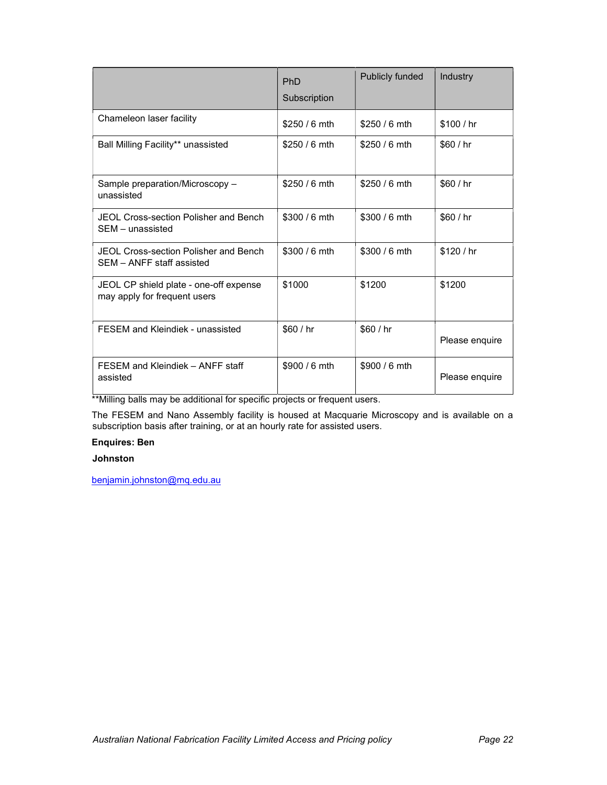|                                                                        | <b>PhD</b><br>Subscription | Publicly funded | Industry       |
|------------------------------------------------------------------------|----------------------------|-----------------|----------------|
| Chameleon laser facility                                               | $$250/6$ mth               | $$250/6$ mth    | \$100/hr       |
| Ball Milling Facility** unassisted                                     | $$250/6$ mth               | $$250/6$ mth    | \$60/hr        |
| Sample preparation/Microscopy -<br>unassisted                          | $$250/6$ mth               | $$250/6$ mth    | \$60/hr        |
| JEOL Cross-section Polisher and Bench<br>SEM - unassisted              | $$300/6$ mth               | $$300/6$ mth    | \$60/hr        |
| JEOL Cross-section Polisher and Bench<br>SEM - ANFF staff assisted     | $$300/6$ mth               | $$300/6$ mth    | \$120/hr       |
| JEOL CP shield plate - one-off expense<br>may apply for frequent users | \$1000                     | \$1200          | \$1200         |
| FESEM and Kleindiek - unassisted                                       | \$60/hr                    | \$60/hr         | Please enquire |
| FESEM and Kleindiek - ANFF staff<br>assisted                           | \$900 / 6 mth              | \$900 / 6 mth   | Please enquire |

\*\*Milling balls may be additional for specific projects or frequent users.

The FESEM and Nano Assembly facility is housed at Macquarie Microscopy and is available on a subscription basis after training, or at an hourly rate for assisted users.

### Enquires: Ben

#### Johnston

benjamin.johnston@mq.edu.au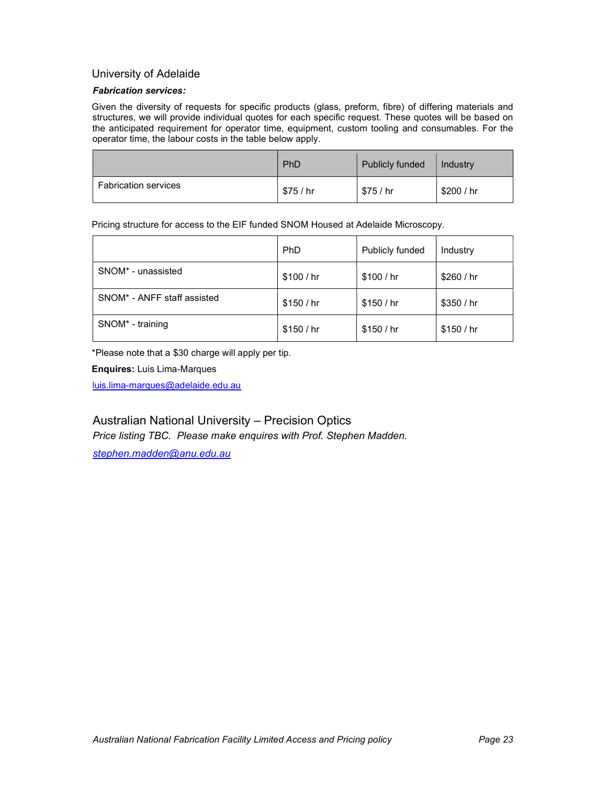#### University of Adelaide

#### Fabrication services:

Given the diversity of requests for specific products (glass, preform, fibre) of differing materials and structures, we will provide individual quotes for each specific request. These quotes will be based on the anticipated requirement for operator time, equipment, custom tooling and consumables. For the operator time, the labour costs in the table below apply.

|                             | PhD       | Publicly funded | Industry   |
|-----------------------------|-----------|-----------------|------------|
| <b>Fabrication services</b> | \$75 / hr | \$75 / hr       | \$200 / hr |

Pricing structure for access to the EIF funded SNOM Housed at Adelaide Microscopy.

|                                | <b>PhD</b> | Publicly funded | Industry |
|--------------------------------|------------|-----------------|----------|
| SNOM <sup>*</sup> - unassisted | \$100/hr   | \$100 / hr      | \$260/hr |
| SNOM* - ANFF staff assisted    | \$150/hr   | \$150/hr        | \$350/hr |
| SNOM <sup>*</sup> - training   | \$150/hr   | \$150/hr        | \$150/hr |

\*Please note that a \$30 charge will apply per tip.

Enquires: Luis Lima-Marques

luis.lima-marques@adelaide.edu.au

## Australian National University – Precision Optics

Price listing TBC. Please make enquires with Prof. Stephen Madden.

stephen.madden@anu.edu.au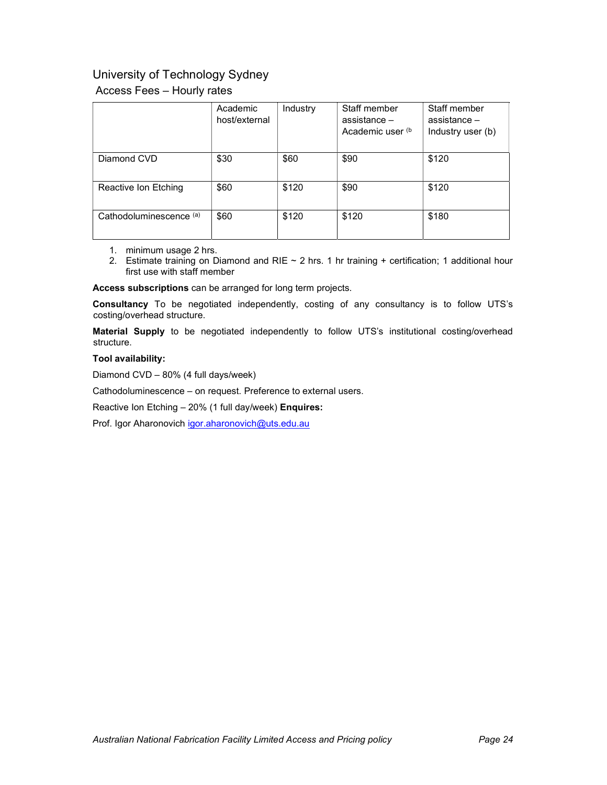## University of Technology Sydney

### Access Fees – Hourly rates

|                         | Academic<br>host/external | Industry | Staff member<br>assistance $-$<br>Academic user (b) | Staff member<br>assistance -<br>Industry user (b) |
|-------------------------|---------------------------|----------|-----------------------------------------------------|---------------------------------------------------|
| Diamond CVD             | \$30                      | \$60     | \$90                                                | \$120                                             |
| Reactive Ion Etching    | \$60                      | \$120    | \$90                                                | \$120                                             |
| Cathodoluminescence (a) | \$60                      | \$120    | \$120                                               | \$180                                             |

- 1. minimum usage 2 hrs.
- 2. Estimate training on Diamond and RIE  $\sim$  2 hrs. 1 hr training + certification; 1 additional hour first use with staff member

Access subscriptions can be arranged for long term projects.

Consultancy To be negotiated independently, costing of any consultancy is to follow UTS's costing/overhead structure.

Material Supply to be negotiated independently to follow UTS's institutional costing/overhead structure.

#### Tool availability:

Diamond CVD – 80% (4 full days/week)

Cathodoluminescence – on request. Preference to external users.

Reactive Ion Etching – 20% (1 full day/week) Enquires:

Prof. Igor Aharonovich igor.aharonovich@uts.edu.au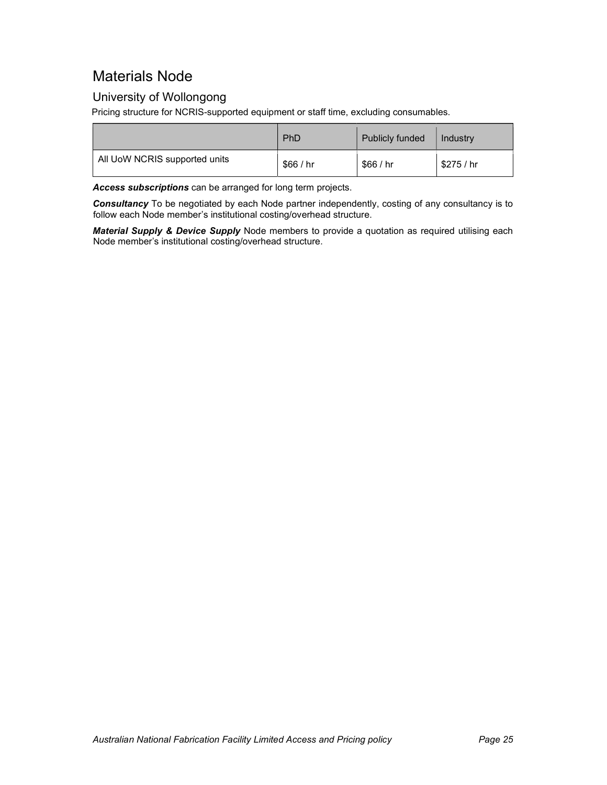# Materials Node

## University of Wollongong

Pricing structure for NCRIS-supported equipment or staff time, excluding consumables.

|                               | PhD     | <b>Publicly funded</b> | Industry   |
|-------------------------------|---------|------------------------|------------|
| All UoW NCRIS supported units | \$66/hr | \$66/hr                | \$275 / hr |

Access subscriptions can be arranged for long term projects.

Consultancy To be negotiated by each Node partner independently, costing of any consultancy is to follow each Node member's institutional costing/overhead structure.

Material Supply & Device Supply Node members to provide a quotation as required utilising each Node member's institutional costing/overhead structure.